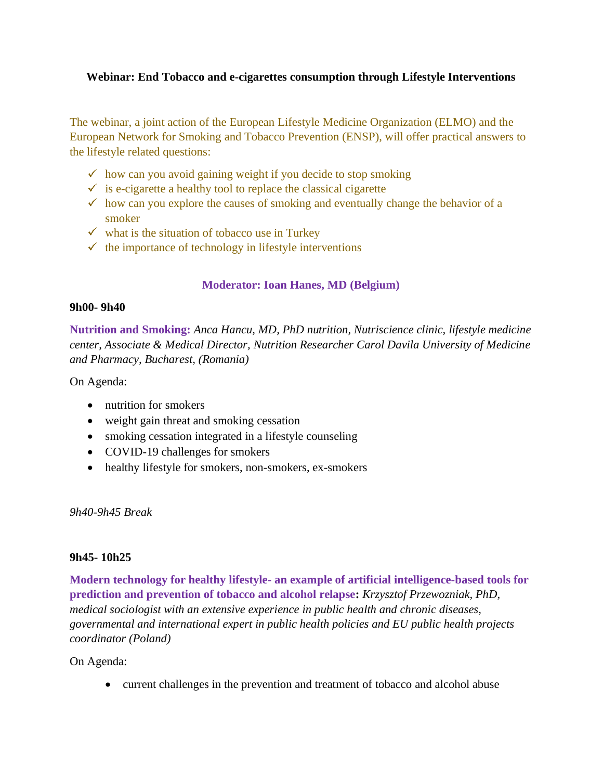### **Webinar: End Tobacco and e-cigarettes consumption through Lifestyle Interventions**

The webinar, a joint action of the European Lifestyle Medicine Organization (ELMO) and the European Network for Smoking and Tobacco Prevention (ENSP), will offer practical answers to the lifestyle related questions:

- $\checkmark$  how can you avoid gaining weight if you decide to stop smoking
- $\checkmark$  is e-cigarette a healthy tool to replace the classical cigarette
- $\checkmark$  how can you explore the causes of smoking and eventually change the behavior of a smoker
- $\checkmark$  what is the situation of tobacco use in Turkey
- $\checkmark$  the importance of technology in lifestyle interventions

## **Moderator: Ioan Hanes, MD (Belgium)**

#### **9h00- 9h40**

**Nutrition and Smoking:** *Anca Hancu, MD, PhD nutrition, Nutriscience clinic, lifestyle medicine center, Associate & Medical Director, Nutrition Researcher Carol Davila University of Medicine and Pharmacy, Bucharest, (Romania)*

On Agenda:

- nutrition for smokers
- weight gain threat and smoking cessation
- smoking cessation integrated in a lifestyle counseling
- COVID-19 challenges for smokers
- healthy lifestyle for smokers, non-smokers, ex-smokers

*9h40-9h45 Break*

#### **9h45- 10h25**

**Modern technology for healthy lifestyle- an example of artificial intelligence-based tools for prediction and prevention of tobacco and alcohol relapse:** *Krzysztof Przewozniak, PhD, medical sociologist with an extensive experience in public health and chronic diseases, governmental and international expert in public health policies and EU public health projects coordinator (Poland)*

On Agenda:

• current challenges in the prevention and treatment of tobacco and alcohol abuse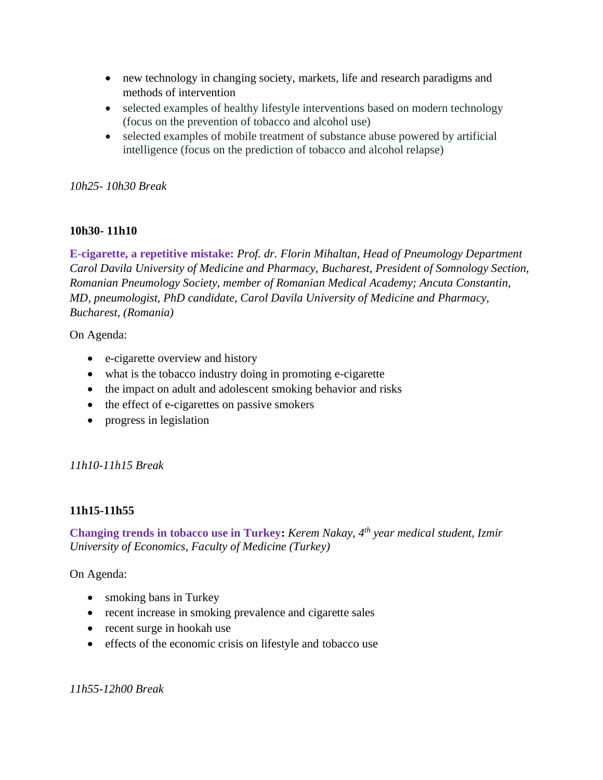- new technology in changing society, markets, life and research paradigms and methods of intervention
- selected examples of healthy lifestyle interventions based on modern technology (focus on the prevention of tobacco and alcohol use)
- selected examples of mobile treatment of substance abuse powered by artificial intelligence (focus on the prediction of tobacco and alcohol relapse)

## *10h25- 10h30 Break*

# **10h30- 11h10**

**E-cigarette, a repetitive mistake:** *Prof. dr. Florin Mihaltan, Head of Pneumology Department Carol Davila University of Medicine and Pharmacy, Bucharest, President of Somnology Section, Romanian Pneumology Society, member of Romanian Medical Academy; Ancuta Constantin, MD, pneumologist, PhD candidate, Carol Davila University of Medicine and Pharmacy, Bucharest, (Romania)*

On Agenda:

- e-cigarette overview and history
- what is the tobacco industry doing in promoting e-cigarette
- the impact on adult and adolescent smoking behavior and risks
- the effect of e-cigarettes on passive smokers
- progress in legislation

*11h10-11h15 Break*

## **11h15-11h55**

**Changing trends in tobacco use in Turkey:** *Kerem Nakay, 4th year medical student, Izmir University of Economics, Faculty of Medicine (Turkey)*

On Agenda:

- smoking bans in Turkey
- recent increase in smoking prevalence and cigarette sales
- recent surge in hookah use
- effects of the economic crisis on lifestyle and tobacco use

*11h55-12h00 Break*